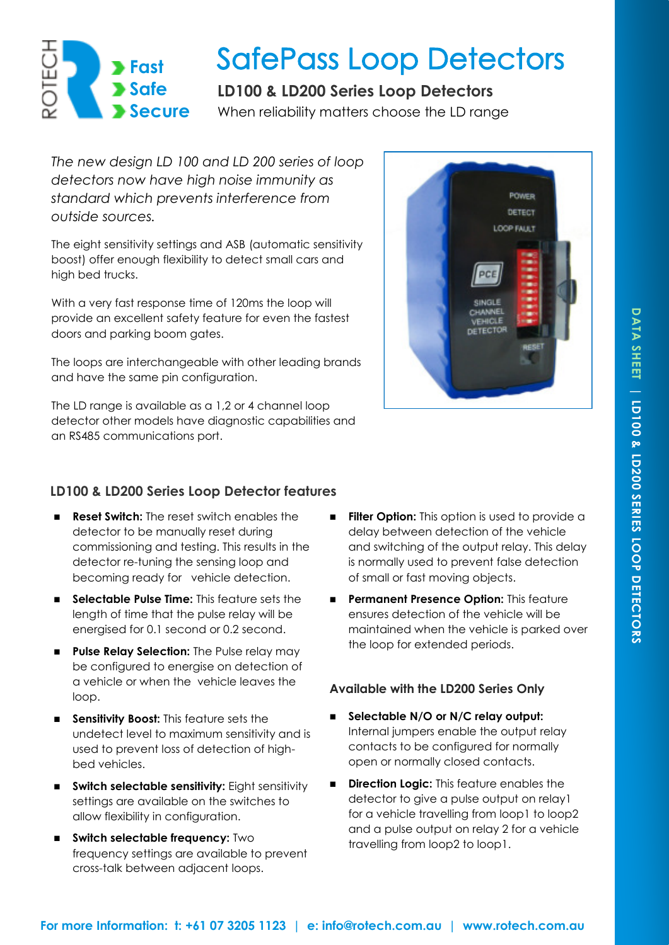# **Fast Safe Secure**

# **SafePass Loop Detectors**

# **LD100 & LD200 Series Loop Detectors**

When reliability matters choose the LD range

*The new design LD 100 and LD 200 series of loop detectors now have high noise immunity as standard which prevents interference from outside sources.* 

The eight sensitivity settings and ASB (automatic sensitivity boost) offer enough flexibility to detect small cars and high bed trucks.

With a very fast response time of 120ms the loop will provide an excellent safety feature for even the fastest doors and parking boom gates.

The loops are interchangeable with other leading brands and have the same pin configuration.

The LD range is available as a 1,2 or 4 channel loop detector other models have diagnostic capabilities and an RS485 communications port.



## **LD100 & LD200 Series Loop Detector features**

- **Reset Switch:** The reset switch enables the detector to be manually reset during commissioning and testing. This results in the detector re-tuning the sensing loop and becoming ready for vehicle detection.
- **Selectable Pulse Time:** This feature sets the length of time that the pulse relay will be energised for 0.1 second or 0.2 second.
- **Pulse Relay Selection:** The Pulse relay may be configured to energise on detection of a vehicle or when the vehicle leaves the loop.
- **Sensitivity Boost:** This feature sets the undetect level to maximum sensitivity and is used to prevent loss of detection of highbed vehicles.
- **EXECTE Switch selectable sensitivity:** Eight sensitivity settings are available on the switches to allow flexibility in configuration.
- $\blacksquare$  Switch selectable frequency: Two frequency settings are available to prevent cross-talk between adjacent loops.
- **Filter Option:** This option is used to provide a delay between detection of the vehicle and switching of the output relay. This delay is normally used to prevent false detection of small or fast moving objects.
- **Permanent Presence Option:** This feature ensures detection of the vehicle will be maintained when the vehicle is parked over the loop for extended periods.

### **Available with the LD200 Series Only**

- **Selectable N/O or N/C relay output:**  Internal jumpers enable the output relay contacts to be configured for normally open or normally closed contacts.
- **Direction Logic:** This feature enables the detector to give a pulse output on relay1 for a vehicle travelling from loop1 to loop2 and a pulse output on relay 2 for a vehicle travelling from loop2 to loop1.